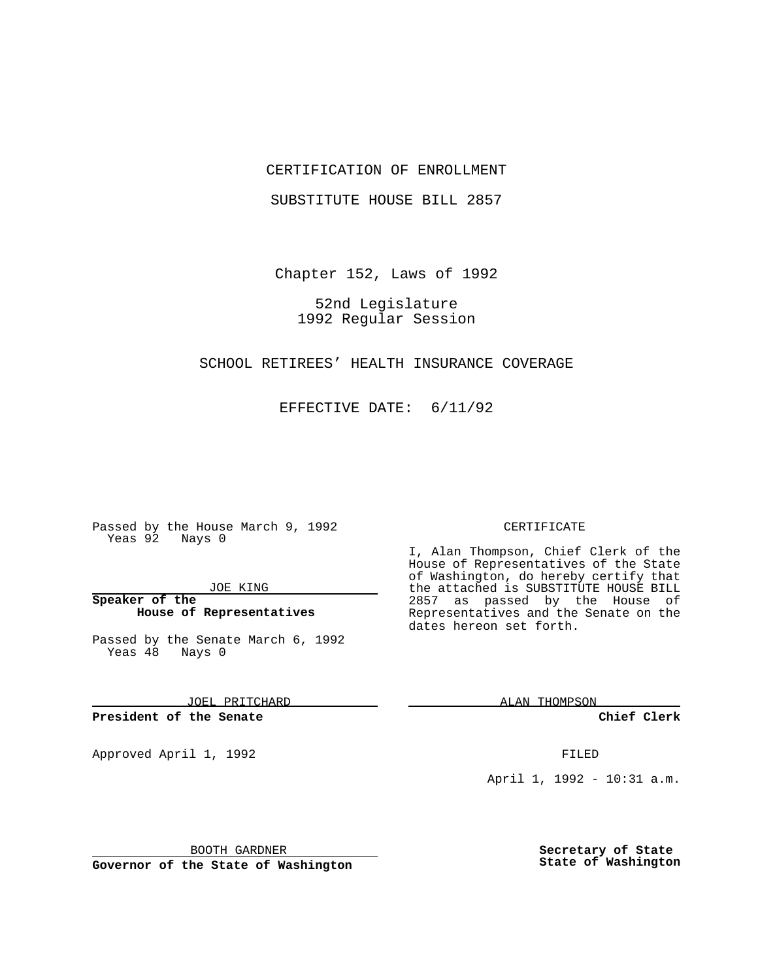## CERTIFICATION OF ENROLLMENT

SUBSTITUTE HOUSE BILL 2857

Chapter 152, Laws of 1992

52nd Legislature 1992 Regular Session

SCHOOL RETIREES' HEALTH INSURANCE COVERAGE

EFFECTIVE DATE: 6/11/92

Passed by the House March 9, 1992 Yeas 92 Nays 0

JOE KING

**Speaker of the House of Representatives**

Passed by the Senate March 6, 1992 Yeas 48 Nays 0

JOEL PRITCHARD

**President of the Senate**

Approved April 1, 1992 **FILED** 

BOOTH GARDNER

**Governor of the State of Washington**

### CERTIFICATE

I, Alan Thompson, Chief Clerk of the House of Representatives of the State of Washington, do hereby certify that the attached is SUBSTITUTE HOUSE BILL 2857 as passed by the House of Representatives and the Senate on the dates hereon set forth.

ALAN THOMPSON

**Chief Clerk**

April 1, 1992 - 10:31 a.m.

**Secretary of State State of Washington**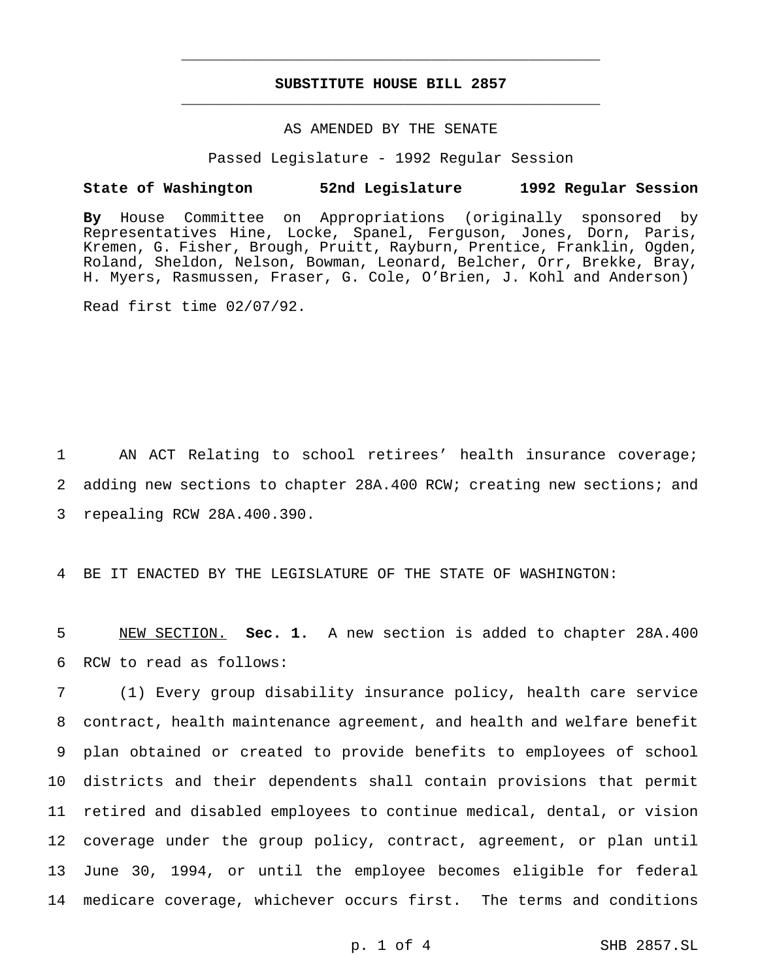# **SUBSTITUTE HOUSE BILL 2857** \_\_\_\_\_\_\_\_\_\_\_\_\_\_\_\_\_\_\_\_\_\_\_\_\_\_\_\_\_\_\_\_\_\_\_\_\_\_\_\_\_\_\_\_\_\_\_

\_\_\_\_\_\_\_\_\_\_\_\_\_\_\_\_\_\_\_\_\_\_\_\_\_\_\_\_\_\_\_\_\_\_\_\_\_\_\_\_\_\_\_\_\_\_\_

## AS AMENDED BY THE SENATE

Passed Legislature - 1992 Regular Session

#### **State of Washington 52nd Legislature 1992 Regular Session**

**By** House Committee on Appropriations (originally sponsored by Representatives Hine, Locke, Spanel, Ferguson, Jones, Dorn, Paris, Kremen, G. Fisher, Brough, Pruitt, Rayburn, Prentice, Franklin, Ogden, Roland, Sheldon, Nelson, Bowman, Leonard, Belcher, Orr, Brekke, Bray, H. Myers, Rasmussen, Fraser, G. Cole, O'Brien, J. Kohl and Anderson)

Read first time 02/07/92.

1 AN ACT Relating to school retirees' health insurance coverage; 2 adding new sections to chapter 28A.400 RCW; creating new sections; and 3 repealing RCW 28A.400.390.

4 BE IT ENACTED BY THE LEGISLATURE OF THE STATE OF WASHINGTON:

5 NEW SECTION. **Sec. 1.** A new section is added to chapter 28A.400 6 RCW to read as follows:

 (1) Every group disability insurance policy, health care service contract, health maintenance agreement, and health and welfare benefit plan obtained or created to provide benefits to employees of school districts and their dependents shall contain provisions that permit retired and disabled employees to continue medical, dental, or vision coverage under the group policy, contract, agreement, or plan until June 30, 1994, or until the employee becomes eligible for federal medicare coverage, whichever occurs first. The terms and conditions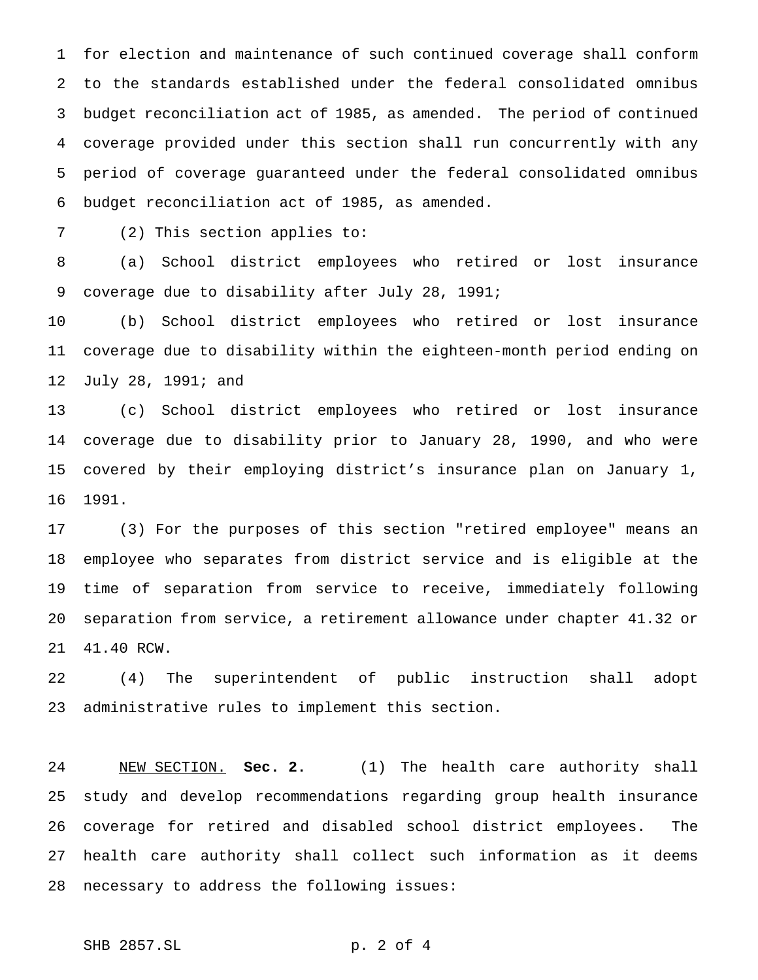for election and maintenance of such continued coverage shall conform to the standards established under the federal consolidated omnibus budget reconciliation act of 1985, as amended. The period of continued coverage provided under this section shall run concurrently with any period of coverage guaranteed under the federal consolidated omnibus budget reconciliation act of 1985, as amended.

(2) This section applies to:

 (a) School district employees who retired or lost insurance coverage due to disability after July 28, 1991;

 (b) School district employees who retired or lost insurance coverage due to disability within the eighteen-month period ending on July 28, 1991; and

 (c) School district employees who retired or lost insurance coverage due to disability prior to January 28, 1990, and who were covered by their employing district's insurance plan on January 1, 1991.

 (3) For the purposes of this section "retired employee" means an employee who separates from district service and is eligible at the time of separation from service to receive, immediately following separation from service, a retirement allowance under chapter 41.32 or 41.40 RCW.

 (4) The superintendent of public instruction shall adopt administrative rules to implement this section.

 NEW SECTION. **Sec. 2.** (1) The health care authority shall study and develop recommendations regarding group health insurance coverage for retired and disabled school district employees. The health care authority shall collect such information as it deems necessary to address the following issues:

SHB 2857.SL p. 2 of 4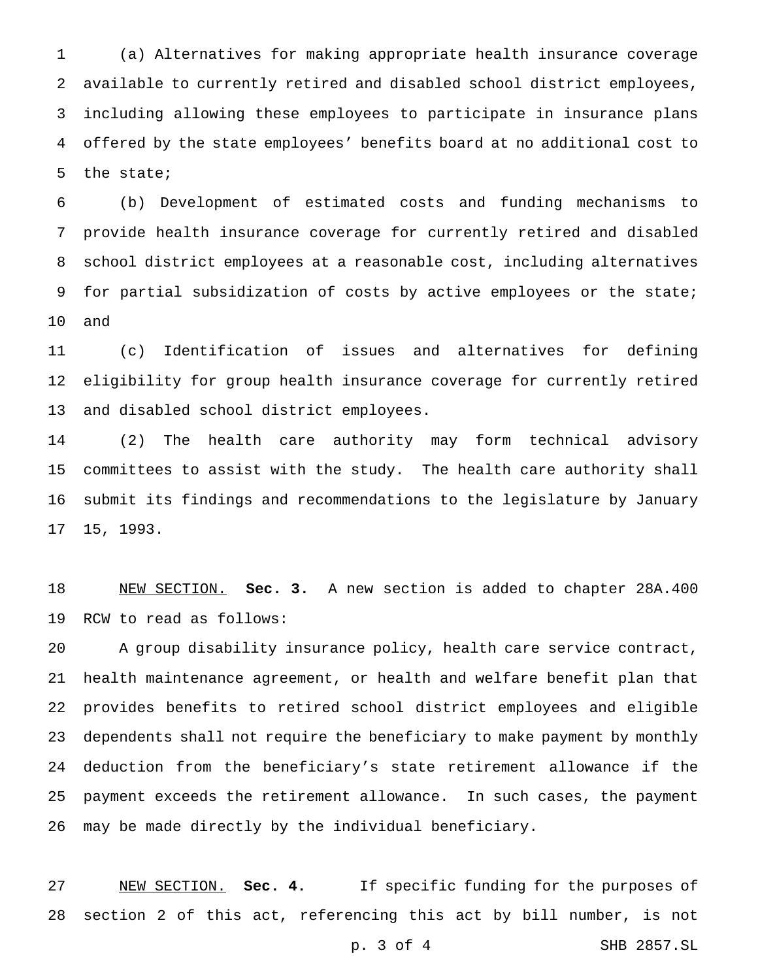(a) Alternatives for making appropriate health insurance coverage available to currently retired and disabled school district employees, including allowing these employees to participate in insurance plans offered by the state employees' benefits board at no additional cost to the state;

 (b) Development of estimated costs and funding mechanisms to provide health insurance coverage for currently retired and disabled school district employees at a reasonable cost, including alternatives 9 for partial subsidization of costs by active employees or the state; and

 (c) Identification of issues and alternatives for defining eligibility for group health insurance coverage for currently retired and disabled school district employees.

 (2) The health care authority may form technical advisory committees to assist with the study. The health care authority shall submit its findings and recommendations to the legislature by January 15, 1993.

 NEW SECTION. **Sec. 3.** A new section is added to chapter 28A.400 RCW to read as follows:

 A group disability insurance policy, health care service contract, health maintenance agreement, or health and welfare benefit plan that provides benefits to retired school district employees and eligible dependents shall not require the beneficiary to make payment by monthly deduction from the beneficiary's state retirement allowance if the payment exceeds the retirement allowance. In such cases, the payment may be made directly by the individual beneficiary.

 NEW SECTION. **Sec. 4.** If specific funding for the purposes of section 2 of this act, referencing this act by bill number, is not

p. 3 of 4 SHB 2857.SL